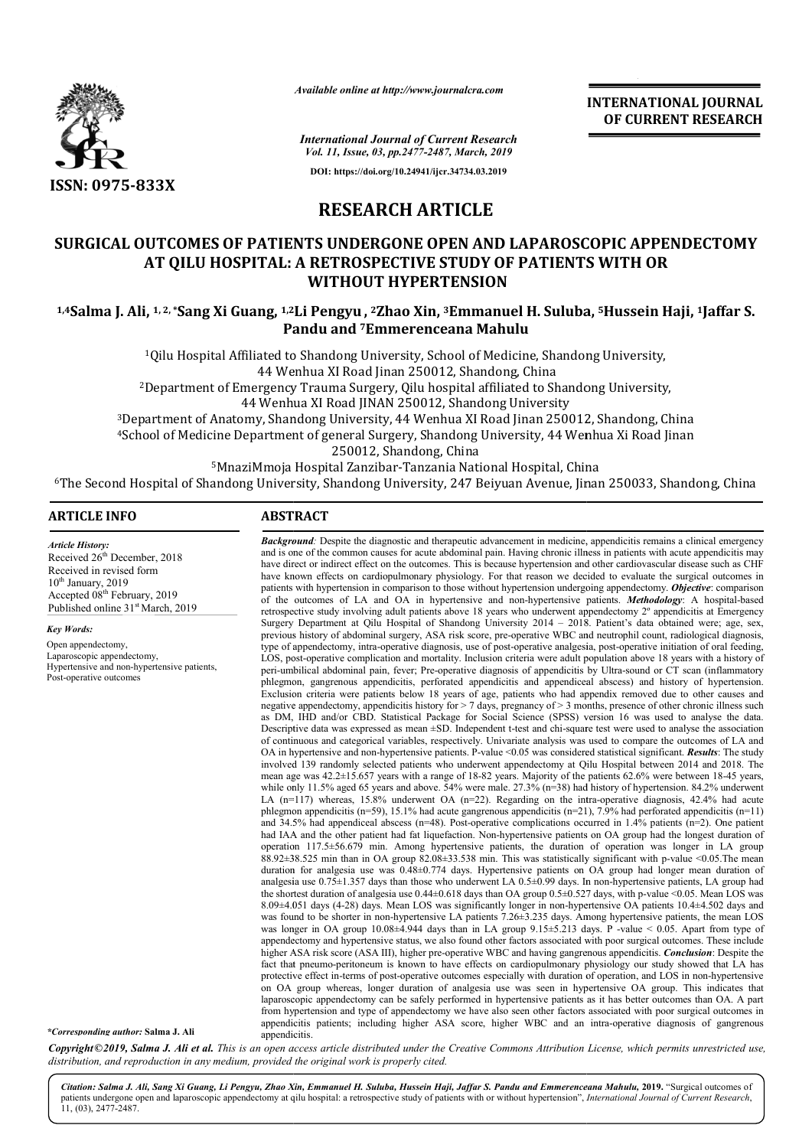

*Available online at http://www.journalcra.com*

*International Journal of Current Research Vol. 11, Issue, 03, pp.2477-2487, March, 2019* **DOI: https://doi.org/10.24941/ijcr.34734.03.2019**

**INTERNATIONAL JOURNAL OF CURRENT RESEARCH**

# **RESEARCH ARTICLE**

# **SURGICAL OUTCOMES OF PATIENTS UNDERGONE OPEN AND LAPAROSCOPIC APPENDECTOMY AT QILU HOSPITAL: A RETROSPECTIVE STUDY OF PATIENTS WITH OR 1,4Salma J. Ali, 1, 2, \*Surgical Durcomes of PATIENTS UNDERGONE OPEN AND LAPAROSCOPIC APPENDECTOMY**<br>4T QILU HOSPITAL: A RETROSPECTIVE STUDY OF PATIENTS WITH OR<br>1,4Salma J. Ali, <sup>1, 2,</sup> \*Sang Xi Guang, <sup>1,2</sup>Li Pengyu, <sup>2</sup>Z **WITHOUT HYPERTENSION**

**Pandu and 7Emmerenceana Mahulu**

<sup>1</sup>Qilu Hospital Affiliated to Shandong University, School of Medicine, Shandong University, 44 Wenhua XI Road Jinan 250012, Shandong, China <sup>2</sup>Department of Emergency Trauma Surgery, Qilu hospital affiliated to Shandong University,<br>44 Wenhua XI Road JINAN 250012, Shandong University 44 Wenhua XI Road JINAN 250012, Shandong University<br>Department of Anatomy, Shandong University, 44 Wenhua XI Road Jinan 250012, Shandong, China<sup>3</sup> tment of Emergency Trauma Surgery, Qilu hospital affiliated to Shandong University,<br>44 Wenhua XI Road JINAN 250012, Shandong University<br>250012, Shandong, Chinan<br>1950012, Shandong, China<br>Medicine Department of general Surge

4School of Medicine Department of general Surgery, Shandong University, 44 Wenhua Xi Road Jinan School 250012, Shandong, China

 $5$ MnaziMmoja Hospital Zanzibar-Tanzania National Hospital, China <sup>5</sup>MnaziMmoja Hospital Zanzibar-Tanzania National Hospital, China و<sup>5</sup>MnaziMmoja Hospital Zanzibar-Tanzania National Hospital, China<br>Fhe Second Hospital of Shandong University, Shandong University, 247 Beiyuan Avenue, Jina

**Background**: Despite the diagnostic and therapeutic advancement in medicine, appendicitis remains a clinical emergency and is one of the common causes for acute abdominal pain. Having chronic illness in patients with acute appendicitis may have direct or indirect effect on the outcomes. This is because hypertension and other cardiovascular disease such as CHF have known effects on cardiopulmonary physiology. For that reason we decided to evaluate the surgical outcomes in

**Background**: Despite the diagnostic and therapeutic advancement in medicine, appendicitis remains a clinical emergency and is one of the common causes for acute abdominal pain. Having chronic illness in patients with acut

of the outcomes of LA and OA in hypertensive and non-hypertensive patients. *Methodology*: A hospital-based retrospective study involving adult patients above 18 years who underwent appendectomy 2° appendicitis at Emergency Surgery Department at Qilu Hospital of Shandong University 2014 – 2018. Patient's data obtained were; age, sex, previous history of abdominal surgery, ASA risk score, pre-operative WBC and neutrophil count, radiological diagnosis, type of appendectomy, intra-operative diagnosis, use of post-operative analgesia, post-operative initiation of oral feeding, LOS, post-operative complication and mortality. Inclusion criteria were adult population above 18 years with a history of peri-umbilical abdominal pain, fever; Pre-operative diagnosis of appendicitis by Ultra-sound or CT scan (inflammatory phlegmon, gangrenous appendicitis, perforated appendicitis and appendiceal abscess) and history of hypertension. Exclusion criteria were patients below 18 years of age, patients who had appendix removed due to other causes and negative appendectomy, appendicitis history for > 7 days, pregnancy of > 3 months, presence of other chronic illness such

Descriptive data was expressed as mean  $\pm$ SD. Independent t-test and chi-square test were used to analyse the association of continuous and categorical variables, respectively. Univariate analysis was used to compare the outcomes of LA and Descriptive data was expressed as mean ±SD. Independent t-test and chi-square test were used to analyse the association of continuous and categorical variables, respectively. Univariate analysis was used to compare the out involved 139 randomly selected patients who underwent appendectomy at Qilu Hospital between 2014 and 2018. The mean age was 42.2±15.657 years with a range of 18-82 years. Majority of the patients 62.6% were between 18-45 years, while only 11.5% aged 65 years and above.  $54\%$  were male.  $27.3\%$  (n=38) had history of hypertension. 84.2% underwent LA  $(n=117)$  whereas, 15.8% underwent OA  $(n=22)$ . Regarding on the intra-operative diagnosis, 42.4% had acute phlegmon appendicitis (n=59), 15.1% had acute gangrenous appendicitis (n=21), 7.9% had perforated appendicitis (n=11) and 34.5% had appendiceal abscess (n=48). Post-operative complications occurred in 1.4% patients (n=2). One patient had IAA and the other patient had fat liquefaction. Non-hypertensive patients on OA group had the longest duration of operation 117.5±56.679 min. Among hypertensive patients, the duration of operation was longer in LA group phlegmon appendicitis (n=59), 15.1% had acute gangrenous appendicitis (n=21), 7.9% had perforated appendicitis (n=11) and 34.5% had appendiceal abscess (n=48). Post-operative complications occurred in 1.4% patients (n=2).

phlegmon, gangrenous appendicitis, perforated appendicitis and appendiceal abscess) and history of hypertension.<br>Exclusion criteria were patients below 18 years of age, patients who had appendix removed due to other causes

duration for analgesia use was 0.48±0.774 days. Hypertensive patients on OA group had longer mean duration of analgesia use  $0.75 \pm 1.357$  days than those who underwent LA  $0.5 \pm 0.99$  days. In non-hypertensive patients, LA group had the shortest duration of analgesia use  $0.44 \pm 0.618$  days than OA group  $0.5 \pm 0.527$  days, with p-value <0.05. Mean LOS was 8.09±4.051 days (4 (4-28) days. Mean LOS was significantly longer in non-hypertensive OA patients 10.4±4.502 days and was found to be shorter in non-hypertensive LA patients 7.26±3.235 days. Among hypertensive patients, the mean LOS

appendectomy and hypertensive status, we also found other factors associated with poor surgical outcomes. These include appendectomy and hypertensive status, we also found other factors associated with poor surgical outcomes. These include<br>higher ASA risk score (ASA III), higher pre-operative WBC and having gangrenous appendicitis. *Conclus* fact that pneumo-peritoneum is known to have effects on cardiopulmonary physiology our study showed that LA has fact that pneumo-peritoneum is known to have effects on cardiopulmonary physiology our study showed that LA has<br>protective effect in-terms of post-operative outcomes especially with duration of operation, and LOS in non-hy on OA group whereas, longer duration of analgesia use was seen in hypertensive OA group. This indicates that on OA group whereas, longer duration of analgesia use was seen in hypertensive OA group. This indicates that laparoscopic appendectomy can be safely performed in hypertensive patients as it has better outcomes than OA. A p from hypertension and type of appendectomy we have also seen other factors associated with poor surgical outcomes in from hypertension and type of appendectomy we have also seen other factors associated with poor surgical outcomes in appendicitis patients; including higher ASA score, higher WBC and an intra-operative diagnosis of gangren

lean LOS was significantly longer in non-hypertensive OA patients 10.4±4.502 days and hypertensive LA patients 7.26±3.235 days. Among hypertensive patients, the mean LOS ±4.944 days than in LA group 9.15±5.213 days. P -va

patients with hypertension in comparison to those without hypertension undergoing appendectomy.

as DM, IHD and/or CBD. Statistical Package for Social Science (SPSS) version 16

was longer in OA group 10.08±4.944 days than in LA group 9.15±5.213 days. P

## **ARTICLE INFO ABSTRACT**

*Article History:* Received  $26<sup>th</sup>$  December, 2018 Received in revised form 10<sup>th</sup> January, 2019 Accepted 08<sup>th</sup> February, 2019 Published online 31<sup>st</sup> March, 2019

*Key Words:*

Open appendectomy, Laparoscopic appendectomy, Hypertensive and non-hypertensive patients, Post-operative outcomes

*\*Corresponding author:* **Salma J. Ali**

Copyright©2019, Salma J. Ali et al. This is an open access article distributed under the Creative Commons Attribution License, which permits unrestricted use, *distribution, and reproduction in any medium, provided the original work is properly cited.*

appendicitis appendicitis.

Citation: Salma J. Ali, Sang Xi Guang, Li Pengyu, Zhao Xin, Emmanuel H. Suluba, Hussein Haji, Jaffar S. Pandu and Emmerenceana Mahulu, 2019. "Surgical outcomes of patients undergone open and laparoscopic appendectomy at qilu hospital: a retrospective study of patients with or without hypertension", *International Journal of Current Research*, 11, (03), 2477-2487.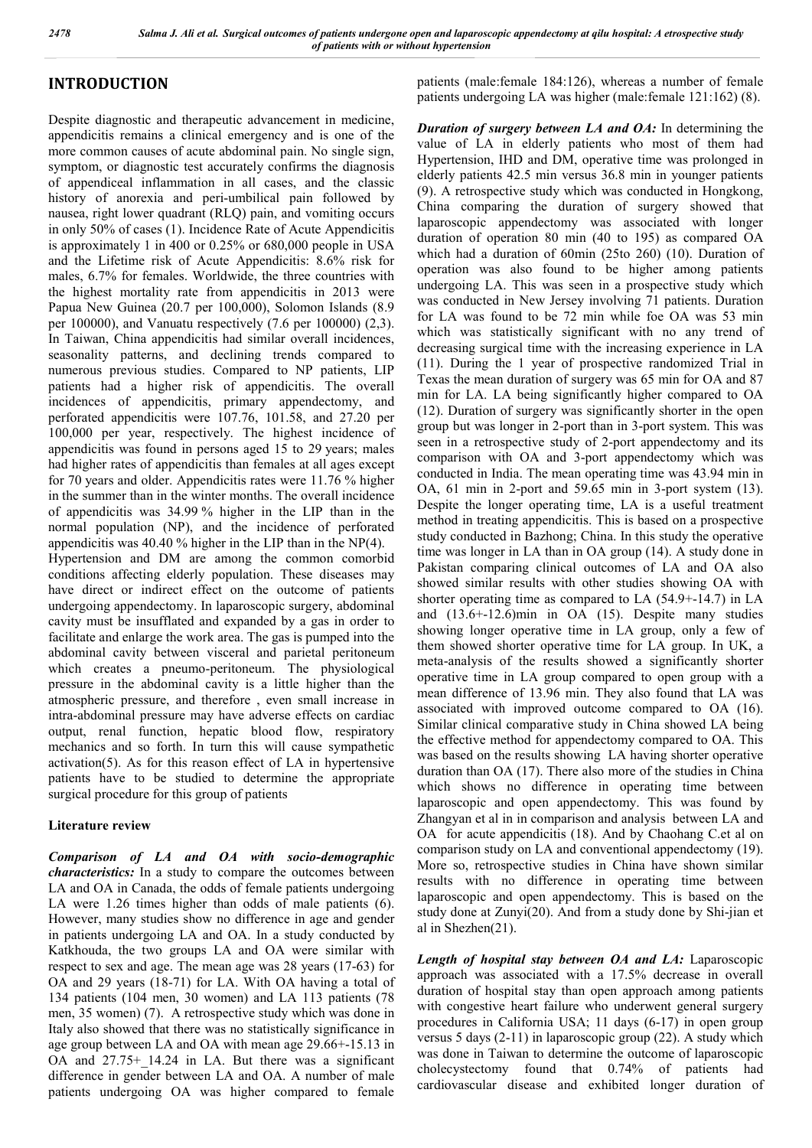# **INTRODUCTION**

Despite diagnostic and therapeutic advancement in medicine, appendicitis remains a clinical emergency and is one of the more common causes of acute abdominal pain. No single sign, symptom, or diagnostic test accurately confirms the diagnosis of appendiceal inflammation in all cases, and the classic history of anorexia and peri-umbilical pain followed by nausea, right lower quadrant (RLQ) pain, and vomiting occurs in only 50% of cases (1). Incidence Rate of Acute Appendicitis is approximately 1 in 400 or 0.25% or 680,000 people in USA and the Lifetime risk of Acute Appendicitis: 8.6% risk for males, 6.7% for females. Worldwide, the three countries with the highest mortality rate from appendicitis in 2013 were Papua New Guinea (20.7 per 100,000), Solomon Islands (8.9 per 100000), and Vanuatu respectively (7.6 per 100000) (2,3). In Taiwan, China appendicitis had similar overall incidences, seasonality patterns, and declining trends compared to numerous previous studies. Compared to NP patients, LIP patients had a higher risk of appendicitis. The overall incidences of appendicitis, primary appendectomy, and perforated appendicitis were 107.76, 101.58, and 27.20 per 100,000 per year, respectively. The highest incidence of appendicitis was found in persons aged 15 to 29 years; males had higher rates of appendicitis than females at all ages except for 70 years and older. Appendicitis rates were 11.76 % higher in the summer than in the winter months. The overall incidence of appendicitis was 34.99 % higher in the LIP than in the normal population (NP), and the incidence of perforated appendicitis was 40.40 % higher in the LIP than in the NP(4). Hypertension and DM are among the common comorbid conditions affecting elderly population. These diseases may have direct or indirect effect on the outcome of patients undergoing appendectomy. In laparoscopic surgery, abdominal cavity must be insufflated and expanded by a gas in order to facilitate and enlarge the work area. The gas is pumped into the abdominal cavity between visceral and parietal peritoneum which creates a pneumo-peritoneum. The physiological pressure in the abdominal cavity is a little higher than the atmospheric pressure, and therefore , even small increase in intra-abdominal pressure may have adverse effects on cardiac output, renal function, hepatic blood flow, respiratory mechanics and so forth. In turn this will cause sympathetic activation(5). As for this reason effect of LA in hypertensive patients have to be studied to determine the appropriate surgical procedure for this group of patients

## **Literature review**

*Comparison of LA and OA with socio-demographic characteristics:* In a study to compare the outcomes between LA and OA in Canada, the odds of female patients undergoing LA were 1.26 times higher than odds of male patients (6). However, many studies show no difference in age and gender in patients undergoing LA and OA. In a study conducted by Katkhouda, the two groups LA and OA were similar with respect to sex and age. The mean age was 28 years (17-63) for OA and 29 years (18-71) for LA. With OA having a total of 134 patients (104 men, 30 women) and LA 113 patients (78 men, 35 women) (7). A retrospective study which was done in Italy also showed that there was no statistically significance in age group between LA and OA with mean age 29.66+-15.13 in OA and 27.75+\_14.24 in LA. But there was a significant difference in gender between LA and OA. A number of male patients undergoing OA was higher compared to female

patients (male:female 184:126), whereas a number of female patients undergoing LA was higher (male:female 121:162) (8).

*Duration of surgery between LA and OA:* In determining the value of LA in elderly patients who most of them had Hypertension, IHD and DM, operative time was prolonged in elderly patients 42.5 min versus 36.8 min in younger patients (9). A retrospective study which was conducted in Hongkong, China comparing the duration of surgery showed that laparoscopic appendectomy was associated with longer duration of operation 80 min (40 to 195) as compared OA which had a duration of 60min (25to 260) (10). Duration of operation was also found to be higher among patients undergoing LA. This was seen in a prospective study which was conducted in New Jersey involving 71 patients. Duration for LA was found to be 72 min while foe OA was 53 min which was statistically significant with no any trend of decreasing surgical time with the increasing experience in LA (11). During the 1 year of prospective randomized Trial in Texas the mean duration of surgery was 65 min for OA and 87 min for LA. LA being significantly higher compared to OA (12). Duration of surgery was significantly shorter in the open group but was longer in 2-port than in 3-port system. This was seen in a retrospective study of 2-port appendectomy and its comparison with OA and 3-port appendectomy which was conducted in India. The mean operating time was 43.94 min in OA, 61 min in 2-port and 59.65 min in 3-port system (13). Despite the longer operating time, LA is a useful treatment method in treating appendicitis. This is based on a prospective study conducted in Bazhong; China. In this study the operative time was longer in LA than in OA group (14). A study done in Pakistan comparing clinical outcomes of LA and OA also showed similar results with other studies showing OA with shorter operating time as compared to LA (54.9+-14.7) in LA and (13.6+-12.6)min in OA (15). Despite many studies showing longer operative time in LA group, only a few of them showed shorter operative time for LA group. In UK, a meta-analysis of the results showed a significantly shorter operative time in LA group compared to open group with a mean difference of 13.96 min. They also found that LA was associated with improved outcome compared to OA (16). Similar clinical comparative study in China showed LA being the effective method for appendectomy compared to OA. This was based on the results showing LA having shorter operative duration than OA (17). There also more of the studies in China which shows no difference in operating time between laparoscopic and open appendectomy. This was found by Zhangyan et al in in comparison and analysis between LA and OA for acute appendicitis (18). And by Chaohang C.et al on comparison study on LA and conventional appendectomy (19). More so, retrospective studies in China have shown similar results with no difference in operating time between laparoscopic and open appendectomy. This is based on the study done at Zunyi(20). And from a study done by Shi-jian et al in Shezhen(21).

*Length of hospital stay between OA and LA:* Laparoscopic approach was associated with a 17.5% decrease in overall duration of hospital stay than open approach among patients with congestive heart failure who underwent general surgery procedures in California USA; 11 days (6-17) in open group versus 5 days (2-11) in laparoscopic group (22). A study which was done in Taiwan to determine the outcome of laparoscopic cholecystectomy found that 0.74% of patients had cardiovascular disease and exhibited longer duration of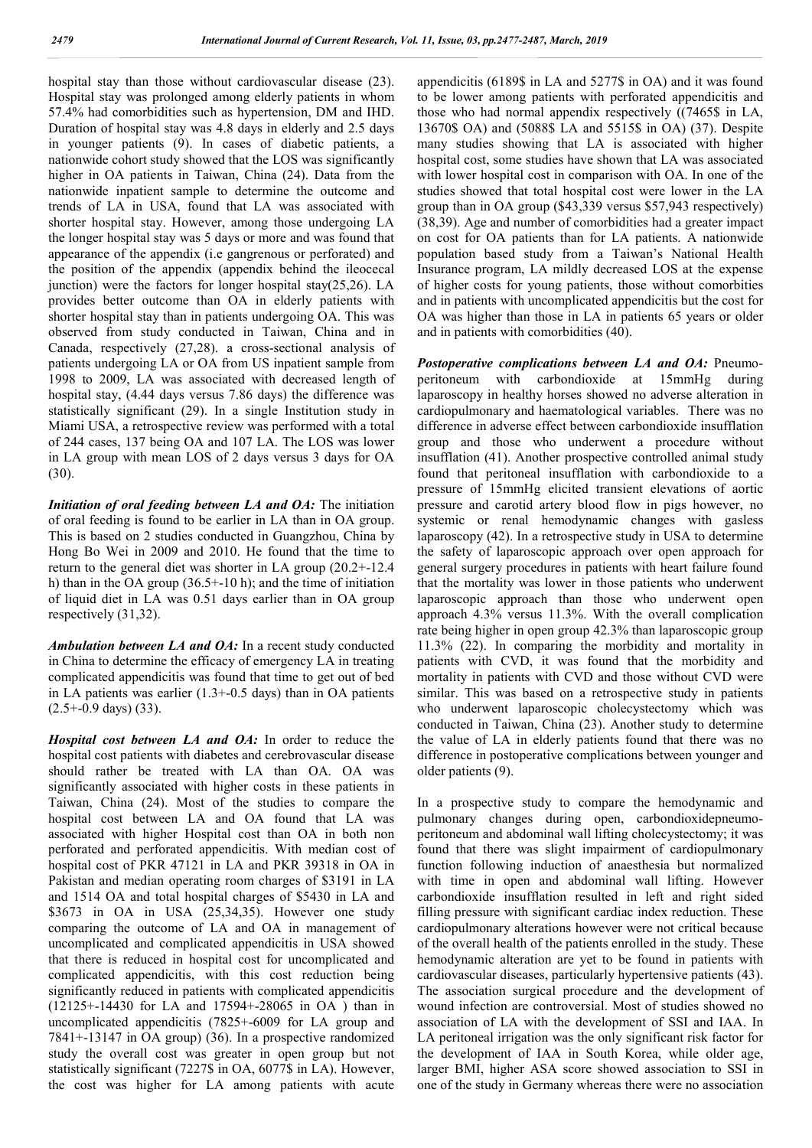hospital stay than those without cardiovascular disease (23). Hospital stay was prolonged among elderly patients in whom 57.4% had comorbidities such as hypertension, DM and IHD. Duration of hospital stay was 4.8 days in elderly and 2.5 days in younger patients (9). In cases of diabetic patients, a nationwide cohort study showed that the LOS was significantly higher in OA patients in Taiwan, China  $(24)$ . Data from the nationwide inpatient sample to determine the outcome and trends of LA in USA, found that LA was associated with shorter hospital stay. However, among those undergoing LA the longer hospital stay was 5 days or more and was found that appearance of the appendix (i.e gangrenous or perforated) and the position of the appendix (appendix behind the ileocecal junction) were the factors for longer hospital stay(25,26). LA provides better outcome than OA in elderly patients with shorter hospital stay than in patients undergoing OA. This was observed from study conducted in Taiwan, China and in Canada, respectively (27,28). a cross-sectional analysis of patients undergoing LA or OA from US inpatient sample from 1998 to 2009, LA was associated with decreased length of hospital stay, (4.44 days versus 7.86 days) the difference was statistically significant (29). In a single Institution study in Miami USA, a retrospective review was performed with a total of 244 cases, 137 being OA and 107 LA. The LOS was lower in LA group with mean LOS of 2 days versus 3 days for OA (30).

*Initiation of oral feeding between LA and OA: The initiation* of oral feeding is found to be earlier in LA than in OA group. This is based on 2 studies conducted in Guangzhou, China by Hong Bo Wei in 2009 and 2010. He found that the time to return to the general diet was shorter in LA group (20.2+-12.4 h) than in the OA group (36.5+-10 h); and the time of initiation of liquid diet in LA was 0.51 days earlier than in OA group respectively (31,32).

*Ambulation between LA and OA:* In a recent study conducted in China to determine the efficacy of emergency LA in treating complicated appendicitis was found that time to get out of bed in LA patients was earlier (1.3+-0.5 days) than in OA patients  $(2.5 + -0.9$  days)  $(33)$ .

*Hospital cost between LA and OA:* In order to reduce the hospital cost patients with diabetes and cerebrovascular disease should rather be treated with LA than OA. OA was significantly associated with higher costs in these patients in Taiwan, China (24). Most of the studies to compare the hospital cost between LA and OA found that LA was associated with higher Hospital cost than OA in both non perforated and perforated appendicitis. With median cost of hospital cost of PKR 47121 in LA and PKR 39318 in OA in Pakistan and median operating room charges of \$3191 in LA and 1514 OA and total hospital charges of \$5430 in LA and \$3673 in OA in USA (25,34,35). However one study comparing the outcome of LA and OA in management of uncomplicated and complicated appendicitis in USA showed that there is reduced in hospital cost for uncomplicated and complicated appendicitis, with this cost reduction being significantly reduced in patients with complicated appendicitis (12125+-14430 for LA and 17594+-28065 in OA ) than in uncomplicated appendicitis (7825+-6009 for LA group and 7841+-13147 in OA group) (36). In a prospective randomized study the overall cost was greater in open group but not statistically significant (7227\$ in OA, 6077\$ in LA). However, the cost was higher for LA among patients with acute

appendicitis (6189\$ in LA and 5277\$ in OA) and it was found to be lower among patients with perforated appendicitis and those who had normal appendix respectively ((7465\$ in LA, 13670\$ OA) and (5088\$ LA and 5515\$ in OA) (37). Despite many studies showing that LA is associated with higher hospital cost, some studies have shown that LA was associated with lower hospital cost in comparison with OA. In one of the studies showed that total hospital cost were lower in the LA group than in OA group (\$43,339 versus \$57,943 respectively) (38,39). Age and number of comorbidities had a greater impact on cost for OA patients than for LA patients. A nationwide population based study from a Taiwan's National Health Insurance program, LA mildly decreased LOS at the expense of higher costs for young patients, those without comorbities and in patients with uncomplicated appendicitis but the cost for OA was higher than those in LA in patients 65 years or older and in patients with comorbidities (40).

*Postoperative complications between LA and OA: Pneumo*peritoneum with carbondioxide at 15mmHg during laparoscopy in healthy horses showed no adverse alteration in cardiopulmonary and haematological variables. There was no difference in adverse effect between carbondioxide insufflation group and those who underwent a procedure without insufflation (41). Another prospective controlled animal study found that peritoneal insufflation with carbondioxide to a pressure of 15mmHg elicited transient elevations of aortic pressure and carotid artery blood flow in pigs however, no systemic or renal hemodynamic changes with gasless laparoscopy (42). In a retrospective study in USA to determine the safety of laparoscopic approach over open approach for general surgery procedures in patients with heart failure found that the mortality was lower in those patients who underwent laparoscopic approach than those who underwent open approach 4.3% versus 11.3%. With the overall complication rate being higher in open group 42.3% than laparoscopic group 11.3% (22). In comparing the morbidity and mortality in patients with CVD, it was found that the morbidity and mortality in patients with CVD and those without CVD were similar. This was based on a retrospective study in patients who underwent laparoscopic cholecystectomy which was conducted in Taiwan, China (23). Another study to determine the value of LA in elderly patients found that there was no difference in postoperative complications between younger and older patients (9).

In a prospective study to compare the hemodynamic and pulmonary changes during open, carbondioxidepneumoperitoneum and abdominal wall lifting cholecystectomy; it was found that there was slight impairment of cardiopulmonary function following induction of anaesthesia but normalized with time in open and abdominal wall lifting. However carbondioxide insufflation resulted in left and right sided filling pressure with significant cardiac index reduction. These cardiopulmonary alterations however were not critical because of the overall health of the patients enrolled in the study. These hemodynamic alteration are yet to be found in patients with cardiovascular diseases, particularly hypertensive patients (43). The association surgical procedure and the development of wound infection are controversial. Most of studies showed no association of LA with the development of SSI and IAA. In LA peritoneal irrigation was the only significant risk factor for the development of IAA in South Korea, while older age, larger BMI, higher ASA score showed association to SSI in one of the study in Germany whereas there were no association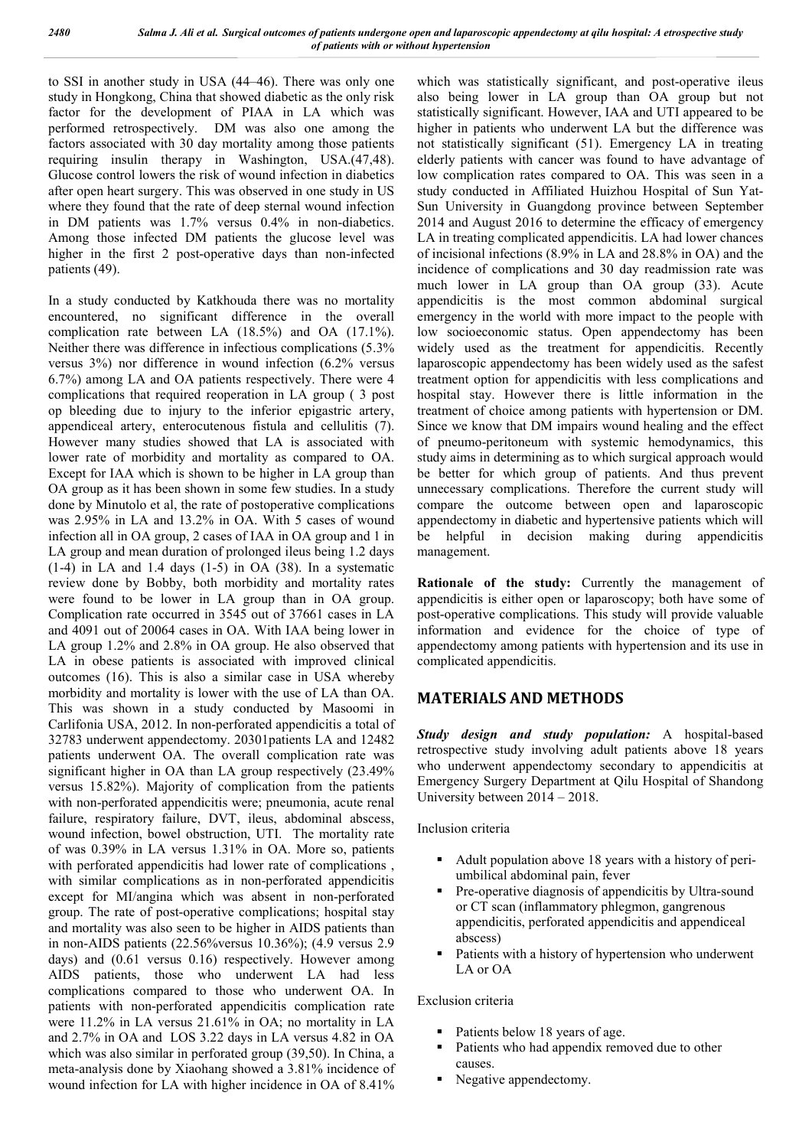to SSI in another study in USA (44–46). There was only one study in Hongkong, China that showed diabetic as the only risk factor for the development of PIAA in LA which was performed retrospectively. DM was also one among the factors associated with 30 day mortality among those patients requiring insulin therapy in Washington, USA.(47,48). Glucose control lowers the risk of wound infection in diabetics after open heart surgery. This was observed in one study in US where they found that the rate of deep sternal wound infection in DM patients was 1.7% versus 0.4% in non-diabetics. Among those infected DM patients the glucose level was higher in the first 2 post-operative days than non-infected patients (49).

In a study conducted by Katkhouda there was no mortality encountered, no significant difference in the overall complication rate between LA (18.5%) and OA (17.1%). Neither there was difference in infectious complications (5.3% versus 3%) nor difference in wound infection (6.2% versus 6.7%) among LA and OA patients respectively. There were 4 complications that required reoperation in LA group ( 3 post op bleeding due to injury to the inferior epigastric artery, appendiceal artery, enterocutenous fistula and cellulitis (7). However many studies showed that LA is associated with lower rate of morbidity and mortality as compared to OA. Except for IAA which is shown to be higher in LA group than OA group as it has been shown in some few studies. In a study done by Minutolo et al, the rate of postoperative complications was 2.95% in LA and 13.2% in OA. With 5 cases of wound infection all in OA group, 2 cases of IAA in OA group and 1 in LA group and mean duration of prolonged ileus being 1.2 days  $(1-4)$  in LA and 1.4 days  $(1-5)$  in OA  $(38)$ . In a systematic review done by Bobby, both morbidity and mortality rates were found to be lower in LA group than in OA group. Complication rate occurred in 3545 out of 37661 cases in LA and 4091 out of 20064 cases in OA. With IAA being lower in LA group 1.2% and 2.8% in OA group. He also observed that LA in obese patients is associated with improved clinical outcomes (16). This is also a similar case in USA whereby morbidity and mortality is lower with the use of LA than OA. This was shown in a study conducted by Masoomi in Carlifonia USA, 2012. In non-perforated appendicitis a total of 32783 underwent appendectomy. 20301patients LA and 12482 patients underwent OA. The overall complication rate was significant higher in OA than LA group respectively (23.49% versus 15.82%). Majority of complication from the patients with non-perforated appendicitis were; pneumonia, acute renal failure, respiratory failure, DVT, ileus, abdominal abscess, wound infection, bowel obstruction, UTI. The mortality rate of was 0.39% in LA versus 1.31% in OA. More so, patients with perforated appendicitis had lower rate of complications. with similar complications as in non-perforated appendicitis except for MI/angina which was absent in non-perforated group. The rate of post-operative complications; hospital stay and mortality was also seen to be higher in AIDS patients than in non-AIDS patients (22.56%versus 10.36%); (4.9 versus 2.9 days) and (0.61 versus 0.16) respectively. However among AIDS patients, those who underwent LA had less complications compared to those who underwent OA. In patients with non-perforated appendicitis complication rate were 11.2% in LA versus 21.61% in OA; no mortality in LA and 2.7% in OA and LOS 3.22 days in LA versus 4.82 in OA which was also similar in perforated group (39,50). In China, a meta-analysis done by Xiaohang showed a 3.81% incidence of wound infection for LA with higher incidence in OA of 8.41%

which was statistically significant, and post-operative ileus also being lower in LA group than OA group but not statistically significant. However, IAA and UTI appeared to be higher in patients who underwent LA but the difference was not statistically significant (51). Emergency LA in treating elderly patients with cancer was found to have advantage of low complication rates compared to OA. This was seen in a study conducted in Affiliated Huizhou Hospital of Sun Yat-Sun University in Guangdong province between September 2014 and August 2016 to determine the efficacy of emergency LA in treating complicated appendicitis. LA had lower chances of incisional infections (8.9% in LA and 28.8% in OA) and the incidence of complications and 30 day readmission rate was much lower in LA group than OA group (33). Acute appendicitis is the most common abdominal surgical emergency in the world with more impact to the people with low socioeconomic status. Open appendectomy has been widely used as the treatment for appendicitis. Recently laparoscopic appendectomy has been widely used as the safest treatment option for appendicitis with less complications and hospital stay. However there is little information in the treatment of choice among patients with hypertension or DM. Since we know that DM impairs wound healing and the effect of pneumo-peritoneum with systemic hemodynamics, this study aims in determining as to which surgical approach would be better for which group of patients. And thus prevent unnecessary complications. Therefore the current study will compare the outcome between open and laparoscopic appendectomy in diabetic and hypertensive patients which will be helpful in decision making during appendicitis management.

**Rationale of the study:** Currently the management of appendicitis is either open or laparoscopy; both have some of post-operative complications. This study will provide valuable information and evidence for the choice of type of appendectomy among patients with hypertension and its use in complicated appendicitis.

# **MATERIALS AND METHODS**

*Study design and study population:* A hospital-based retrospective study involving adult patients above 18 years who underwent appendectomy secondary to appendicitis at Emergency Surgery Department at Qilu Hospital of Shandong University between 2014 – 2018.

Inclusion criteria

- Adult population above 18 years with a history of periumbilical abdominal pain, fever
- Pre-operative diagnosis of appendicitis by Ultra-sound or CT scan (inflammatory phlegmon, gangrenous appendicitis, perforated appendicitis and appendiceal abscess)
- Patients with a history of hypertension who underwent LA or OA

Exclusion criteria

- Patients below 18 years of age.
- Patients who had appendix removed due to other causes.
- Negative appendectomy.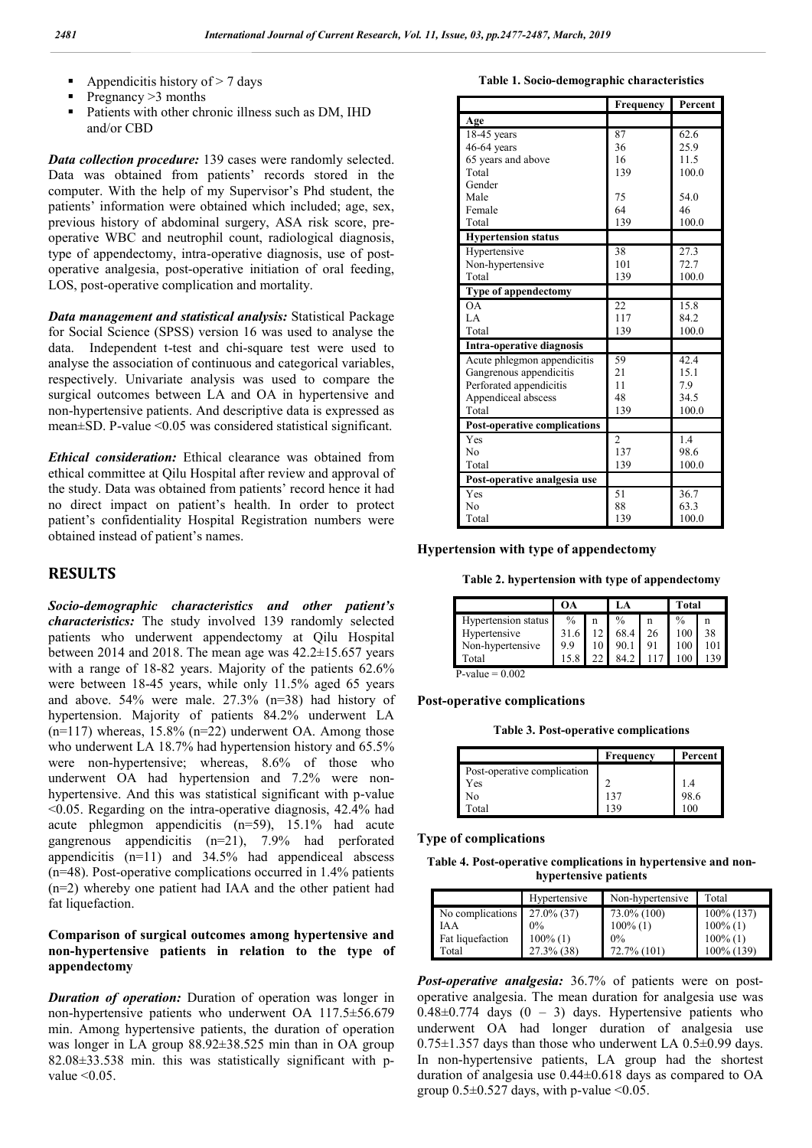- Appendicitis history of > 7 days
- Pregnancy >3 months
- Patients with other chronic illness such as DM, IHD and/or CBD

*Data collection procedure:* 139 cases were randomly selected. Data was obtained from patients' records stored in the computer. With the help of my Supervisor's Phd student, the patients' information were obtained which included; age, sex, previous history of abdominal surgery, ASA risk score, preoperative WBC and neutrophil count, radiological diagnosis, type of appendectomy, intra-operative diagnosis, use of postoperative analgesia, post-operative initiation of oral feeding, LOS, post-operative complication and mortality.

*Data management and statistical analysis:* Statistical Package for Social Science (SPSS) version 16 was used to analyse the data. Independent t-test and chi-square test were used to analyse the association of continuous and categorical variables, respectively. Univariate analysis was used to compare the surgical outcomes between LA and OA in hypertensive and non-hypertensive patients. And descriptive data is expressed as mean±SD. P-value <0.05 was considered statistical significant.

*Ethical consideration:* Ethical clearance was obtained from ethical committee at Qilu Hospital after review and approval of the study. Data was obtained from patients' record hence it had no direct impact on patient's health. In order to protect patient's confidentiality Hospital Registration numbers were obtained instead of patient's names.

## **RESULTS**

*Socio-demographic characteristics and other patient's characteristics:* The study involved 139 randomly selected patients who underwent appendectomy at Qilu Hospital between 2014 and 2018. The mean age was 42.2±15.657 years with a range of 18-82 years. Majority of the patients 62.6% were between 18-45 years, while only 11.5% aged 65 years and above. 54% were male. 27.3% (n=38) had history of hypertension. Majority of patients 84.2% underwent LA  $(n=117)$  whereas, 15.8%  $(n=22)$  underwent OA. Among those who underwent LA 18.7% had hypertension history and 65.5% were non-hypertensive; whereas, 8.6% of those who underwent OA had hypertension and 7.2% were nonhypertensive. And this was statistical significant with p-value <0.05. Regarding on the intra-operative diagnosis, 42.4% had acute phlegmon appendicitis (n=59), 15.1% had acute gangrenous appendicitis (n=21), 7.9% had perforated appendicitis  $(n=11)$  and  $34.5\%$  had appendiceal abscess (n=48). Post-operative complications occurred in 1.4% patients (n=2) whereby one patient had IAA and the other patient had fat liquefaction.

## **Comparison of surgical outcomes among hypertensive and non-hypertensive patients in relation to the type of appendectomy**

*Duration of operation:* Duration of operation was longer in non-hypertensive patients who underwent OA 117.5±56.679 min. Among hypertensive patients, the duration of operation was longer in LA group 88.92±38.525 min than in OA group 82.08±33.538 min. this was statistically significant with pvalue  $\leq 0.05$ .

**Table 1. Socio-demographic characteristics**

|                                     | Frequency      | Percent |
|-------------------------------------|----------------|---------|
| Age                                 |                |         |
| $18-45$ years                       | 87             | 62.6    |
| 46-64 years                         | 36             | 25.9    |
| 65 years and above                  | 16             | 11.5    |
| Total                               | 139            | 100.0   |
| Gender                              |                |         |
| Male                                | 75             | 54.0    |
| Female                              | 64             | 46      |
| Total                               | 139            | 100.0   |
| <b>Hypertension status</b>          |                |         |
| Hypertensive                        | 38             | 27.3    |
| Non-hypertensive                    | 101            | 72.7    |
| Total                               | 139            | 100.0   |
| Type of appendectomy                |                |         |
| <b>OA</b>                           | 22             | 15.8    |
| $L$ A                               | 117            | 84.2    |
| Total                               | 139            | 100.0   |
| <b>Intra-operative diagnosis</b>    |                |         |
| Acute phlegmon appendicitis         | 59             | 42.4    |
| Gangrenous appendicitis             | 21             | 15.1    |
| Perforated appendicitis             | 11             | 7.9     |
| Appendiceal abscess                 | 48             | 34.5    |
| Total                               | 139            | 100.0   |
| <b>Post-operative complications</b> |                |         |
| Yes                                 | $\overline{c}$ | 1.4     |
| N <sub>0</sub>                      | 137            | 98.6    |
| Total                               | 139            | 100.0   |
| Post-operative analgesia use        |                |         |
| Yes                                 | 51             | 36.7    |
| N <sub>0</sub>                      | 88             | 63.3    |
| Total                               | 139            | 100.0   |

**Hypertension with type of appendectomy**

**Table 2. hypertension with type of appendectomy**

|                     | OА            |    | LA            |    | Total         |    |
|---------------------|---------------|----|---------------|----|---------------|----|
| Hypertension status | $\frac{0}{0}$ |    | $\frac{0}{0}$ | n  | $\frac{0}{0}$ |    |
| Hypertensive        | 31.6          |    | 68.4          | 26 | 100           | 38 |
| Non-hypertensive    | 99            | 10 |               | 91 | 100           |    |
| Total               |               |    | 84.2          |    |               |    |

#### **Post-operative complications**

**Table 3. Post-operative complications**

|                             | Frequency | <b>Percent</b> |
|-----------------------------|-----------|----------------|
| Post-operative complication |           |                |
| Yes                         |           |                |
| No                          | 137       | 98.6           |
| Total                       | 39        | $(00 -$        |

#### **Type of complications**

**Table 4. Post-operative complications in hypertensive and nonhypertensive patients**

|                  | Hypertensive  | Non-hypertensive | Total         |
|------------------|---------------|------------------|---------------|
| No complications | $27.0\%$ (37) | 73.0% (100)      | $100\%$ (137) |
| IA A             | $0\%$         | $100\%$ (1)      | $100\%$ (1)   |
| Fat liquefaction | $100\%$ (1)   | $0\%$            | $100\%$ (1)   |
| Total            | 27.3% (38)    | 72.7% (101)      | 100% (139)    |

*Post-operative analgesia:* 36.7% of patients were on postoperative analgesia. The mean duration for analgesia use was  $0.48\pm0.774$  days  $(0 - 3)$  days. Hypertensive patients who underwent OA had longer duration of analgesia use  $0.75\pm1.357$  days than those who underwent LA  $0.5\pm0.99$  days. In non-hypertensive patients, LA group had the shortest duration of analgesia use 0.44±0.618 days as compared to OA group  $0.5\pm 0.527$  days, with p-value <0.05.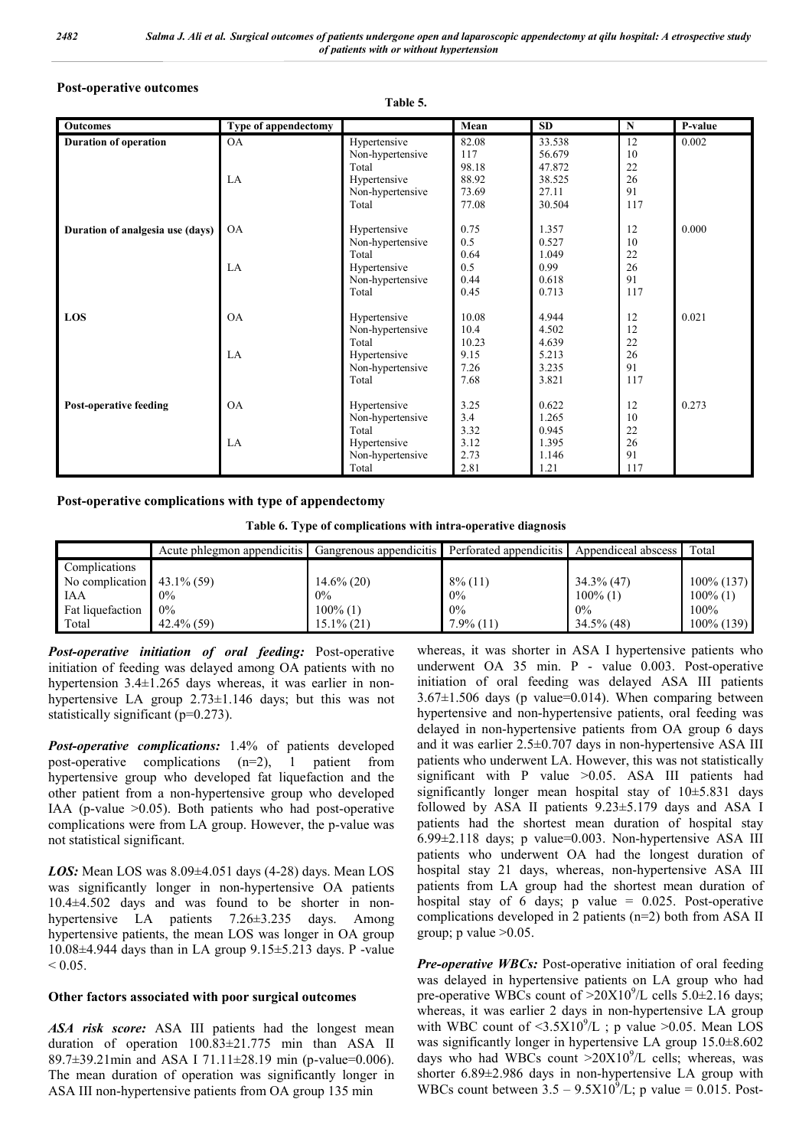### **Post-operative outcomes**

#### **Table 5.**

| <b>Outcomes</b>                  | Type of appendectomy |                  | Mean  | <b>SD</b> | N   | P-value |
|----------------------------------|----------------------|------------------|-------|-----------|-----|---------|
| <b>Duration of operation</b>     | <b>OA</b>            | Hypertensive     | 82.08 | 33.538    | 12  | 0.002   |
|                                  |                      | Non-hypertensive | 117   | 56.679    | 10  |         |
|                                  |                      | Total            | 98.18 | 47.872    | 22  |         |
|                                  | LA                   | Hypertensive     | 88.92 | 38.525    | 26  |         |
|                                  |                      | Non-hypertensive | 73.69 | 27.11     | 91  |         |
|                                  |                      | Total            | 77.08 | 30.504    | 117 |         |
| Duration of analgesia use (days) | <b>OA</b>            | Hypertensive     | 0.75  | 1.357     | 12  | 0.000   |
|                                  |                      | Non-hypertensive | 0.5   | 0.527     | 10  |         |
|                                  |                      | Total            | 0.64  | 1.049     | 22  |         |
|                                  | LA                   | Hypertensive     | 0.5   | 0.99      | 26  |         |
|                                  |                      | Non-hypertensive | 0.44  | 0.618     | 91  |         |
|                                  |                      | Total            | 0.45  | 0.713     | 117 |         |
| LOS                              | <b>OA</b>            | Hypertensive     | 10.08 | 4.944     | 12  | 0.021   |
|                                  |                      | Non-hypertensive | 10.4  | 4.502     | 12  |         |
|                                  |                      | Total            | 10.23 | 4.639     | 22  |         |
|                                  | LA                   | Hypertensive     | 9.15  | 5.213     | 26  |         |
|                                  |                      | Non-hypertensive | 7.26  | 3.235     | 91  |         |
|                                  |                      | Total            | 7.68  | 3.821     | 117 |         |
| <b>Post-operative feeding</b>    | O <sub>A</sub>       | Hypertensive     | 3.25  | 0.622     | 12  | 0.273   |
|                                  |                      | Non-hypertensive | 3.4   | 1.265     | 10  |         |
|                                  |                      | Total            | 3.32  | 0.945     | 22  |         |
|                                  | $L_A$                | Hypertensive     | 3.12  | 1.395     | 26  |         |
|                                  |                      | Non-hypertensive | 2.73  | 1.146     | 91  |         |
|                                  |                      | Total            | 2.81  | 1.21      | 117 |         |

## **Post-operative complications with type of appendectomy**

**Table 6. Type of complications with intra-operative diagnosis**

|                  | Acute phlegmon appendicitis | Gangrenous appendicitis | Perforated appendicitis | Appendiceal abscess | Total         |
|------------------|-----------------------------|-------------------------|-------------------------|---------------------|---------------|
| Complications    |                             |                         |                         |                     |               |
| No complication  | $43.1\%$ (59)               | $14.6\%$ (20)           | $8\%$ (11)              | $34.3\%$ (47)       | $100\%$ (137) |
| IAA              | $0\%$                       | $0\%$                   | 0%                      | $100\%$ (1)         | $100\%$ (1)   |
| Fat liquefaction | $0\%$                       | $100\%$ (1)             | 0%                      | $0\%$               | $100\%$       |
| Total            | $42.4\%$ (59)               | 15.1% (21)              | $7.9\%$ (11)            | $34.5\%$ (48)       | $100\%$ (139) |

*Post-operative initiation of oral feeding:* Post-operative initiation of feeding was delayed among OA patients with no hypertension 3.4±1.265 days whereas, it was earlier in nonhypertensive LA group 2.73±1.146 days; but this was not statistically significant (p=0.273).

*Post-operative complications:* 1.4% of patients developed post-operative complications (n=2), 1 patient from hypertensive group who developed fat liquefaction and the other patient from a non-hypertensive group who developed IAA (p-value  $>0.05$ ). Both patients who had post-operative complications were from LA group. However, the p-value was not statistical significant.

*LOS:* Mean LOS was 8.09±4.051 days (4-28) days. Mean LOS was significantly longer in non-hypertensive OA patients 10.4±4.502 days and was found to be shorter in nonhypertensive LA patients 7.26±3.235 days. Among hypertensive patients, the mean LOS was longer in OA group 10.08±4.944 days than in LA group 9.15±5.213 days. P -value  $< 0.05$ 

## **Other factors associated with poor surgical outcomes**

*ASA risk score:* ASA III patients had the longest mean duration of operation 100.83±21.775 min than ASA II 89.7±39.21min and ASA I 71.11±28.19 min (p-value=0.006). The mean duration of operation was significantly longer in ASA III non-hypertensive patients from OA group 135 min

whereas, it was shorter in ASA I hypertensive patients who underwent OA 35 min. P - value 0.003. Post-operative initiation of oral feeding was delayed ASA III patients  $3.67\pm1.506$  days (p value=0.014). When comparing between hypertensive and non-hypertensive patients, oral feeding was delayed in non-hypertensive patients from OA group 6 days and it was earlier 2.5±0.707 days in non-hypertensive ASA III patients who underwent LA. However, this was not statistically significant with P value >0.05. ASA III patients had significantly longer mean hospital stay of 10±5.831 days followed by ASA II patients 9.23±5.179 days and ASA I patients had the shortest mean duration of hospital stay 6.99±2.118 days; p value=0.003. Non-hypertensive ASA III patients who underwent OA had the longest duration of hospital stay 21 days, whereas, non-hypertensive ASA III patients from LA group had the shortest mean duration of hospital stay of 6 days; p value =  $0.025$ . Post-operative complications developed in 2 patients (n=2) both from ASA II group; p value  $>0.05$ .

*Pre-operative WBCs:* Post-operative initiation of oral feeding was delayed in hypertensive patients on LA group who had pre-operative WBCs count of  $>20X10^9/L$  cells 5.0±2.16 days; whereas, it was earlier 2 days in non-hypertensive LA group with WBC count of  $\langle 3.5 \times 10^9 / L$ ; p value  $> 0.05$ . Mean LOS was significantly longer in hypertensive LA group 15.0±8.602 days who had WBCs count  $>20X10^9$ /L cells; whereas, was shorter  $6.89 \pm 2.986$  days in non-hypertensive LA group with WBCs count between  $3.5 - 9.5 \times 10^9$ /L; p value = 0.015. Post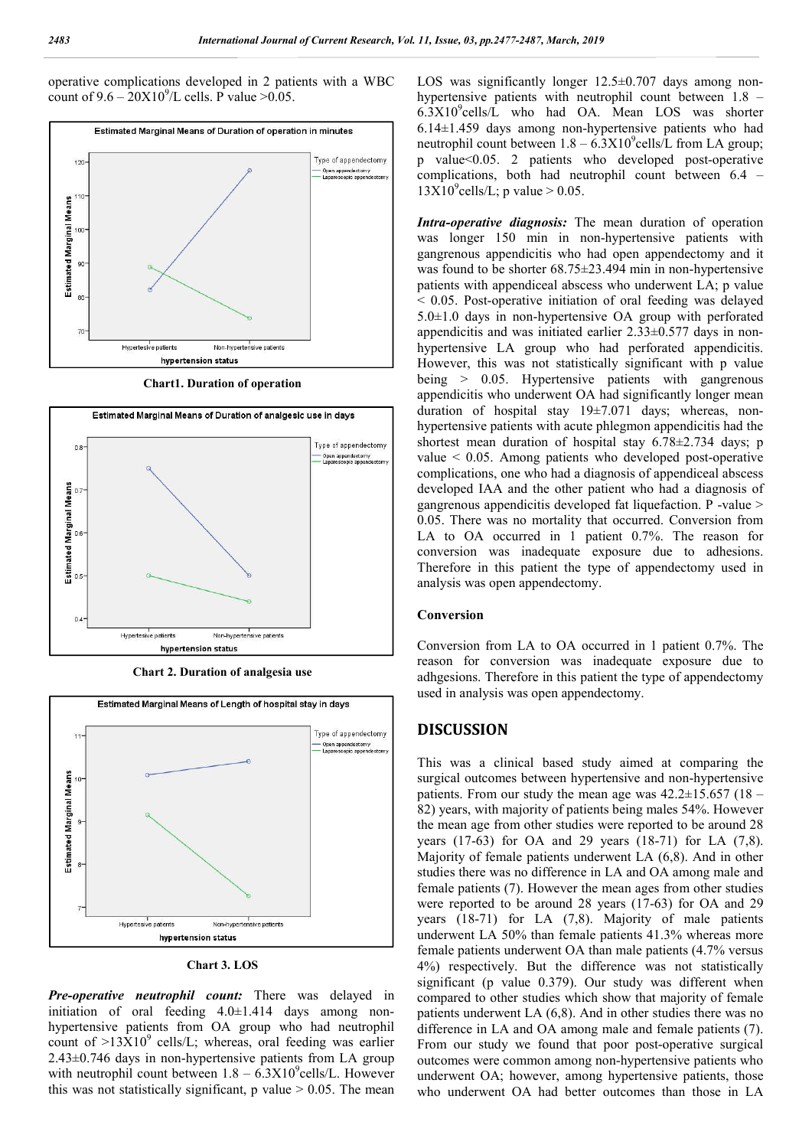operative complications developed in 2 patients with a WBC count of  $9.6 - 20X10^9$ /L cells. P value >0.05.



**Chart1. Duration of operation**



**Chart 2. Duration of analgesia use**



**Chart 3. LOS**

*Pre-operative neutrophil count:* There was delayed in initiation of oral feeding 4.0±1.414 days among nonhypertensive patients from OA group who had neutrophil count of  $>13X10^9$  cells/L; whereas, oral feeding was earlier 2.43±0.746 days in non-hypertensive patients from LA group with neutrophil count between  $1.8 - 6.3 \text{X} 10^9$ cells/L. However this was not statistically significant, p value  $> 0.05$ . The mean

LOS was significantly longer  $12.5\pm0.707$  days among nonhypertensive patients with neutrophil count between 1.8 – 6.3X10<sup>9</sup> cells/L who had OA. Mean LOS was shorter 6.14±1.459 days among non-hypertensive patients who had neutrophil count between  $1.8 - 6.3 \text{X} 10^9$ cells/L from LA group; p value<0.05. 2 patients who developed post-operative complications, both had neutrophil count between 6.4 –  $13X10^9$ cells/L; p value > 0.05.

*Intra-operative diagnosis:* The mean duration of operation was longer 150 min in non-hypertensive patients with gangrenous appendicitis who had open appendectomy and it was found to be shorter  $68.75 \pm 23.494$  min in non-hypertensive patients with appendiceal abscess who underwent LA; p value < 0.05. Post-operative initiation of oral feeding was delayed 5.0±1.0 days in non-hypertensive OA group with perforated appendicitis and was initiated earlier 2.33±0.577 days in nonhypertensive LA group who had perforated appendicitis. However, this was not statistically significant with p value being > 0.05. Hypertensive patients with gangrenous appendicitis who underwent OA had significantly longer mean duration of hospital stay 19±7.071 days; whereas, nonhypertensive patients with acute phlegmon appendicitis had the shortest mean duration of hospital stay 6.78 $\pm$ 2.734 days; p value < 0.05. Among patients who developed post-operative complications, one who had a diagnosis of appendiceal abscess developed IAA and the other patient who had a diagnosis of gangrenous appendicitis developed fat liquefaction. P -value > 0.05. There was no mortality that occurred. Conversion from LA to OA occurred in 1 patient 0.7%. The reason for conversion was inadequate exposure due to adhesions. Therefore in this patient the type of appendectomy used in analysis was open appendectomy.

#### **Conversion**

Conversion from LA to OA occurred in 1 patient 0.7%. The reason for conversion was inadequate exposure due to adhgesions. Therefore in this patient the type of appendectomy used in analysis was open appendectomy.

#### **DISCUSSION**

This was a clinical based study aimed at comparing the surgical outcomes between hypertensive and non-hypertensive patients. From our study the mean age was  $42.2 \pm 15.657$  (18 – 82) years, with majority of patients being males 54%. However the mean age from other studies were reported to be around 28 years (17-63) for OA and 29 years (18-71) for LA (7,8). Majority of female patients underwent LA (6,8). And in other studies there was no difference in LA and OA among male and female patients (7). However the mean ages from other studies were reported to be around 28 years (17-63) for OA and 29 years (18-71) for LA (7,8). Majority of male patients underwent LA 50% than female patients 41.3% whereas more female patients underwent OA than male patients (4.7% versus 4%) respectively. But the difference was not statistically significant (p value 0.379). Our study was different when compared to other studies which show that majority of female patients underwent LA (6,8). And in other studies there was no difference in LA and OA among male and female patients (7). From our study we found that poor post-operative surgical outcomes were common among non-hypertensive patients who underwent OA; however, among hypertensive patients, those who underwent OA had better outcomes than those in LA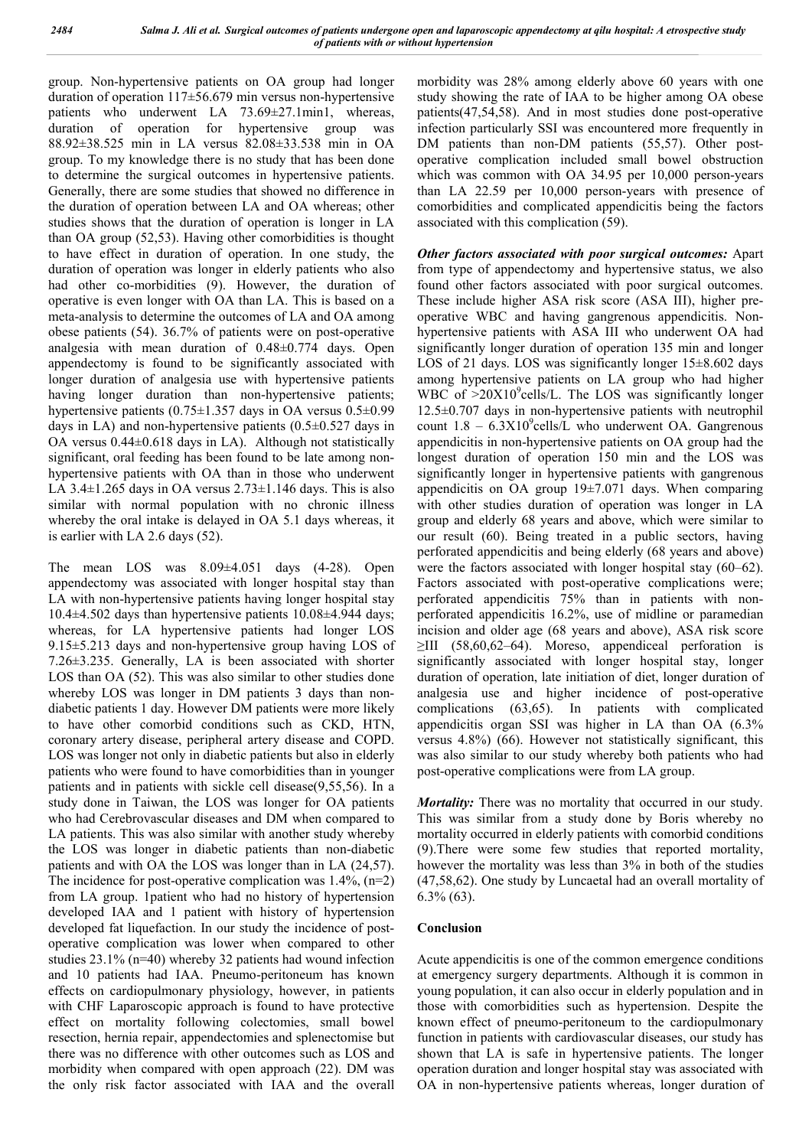group. Non-hypertensive patients on OA group had longer duration of operation 117±56.679 min versus non-hypertensive patients who underwent LA 73.69±27.1min1, whereas, duration of operation for hypertensive group was 88.92±38.525 min in LA versus 82.08±33.538 min in OA group. To my knowledge there is no study that has been done to determine the surgical outcomes in hypertensive patients. Generally, there are some studies that showed no difference in the duration of operation between LA and OA whereas; other studies shows that the duration of operation is longer in LA than OA group (52,53). Having other comorbidities is thought to have effect in duration of operation. In one study, the duration of operation was longer in elderly patients who also had other co-morbidities (9). However, the duration of operative is even longer with OA than LA. This is based on a meta-analysis to determine the outcomes of LA and OA among obese patients (54). 36.7% of patients were on post-operative analgesia with mean duration of 0.48±0.774 days. Open appendectomy is found to be significantly associated with longer duration of analgesia use with hypertensive patients having longer duration than non-hypertensive patients; hypertensive patients (0.75±1.357 days in OA versus 0.5±0.99 days in LA) and non-hypertensive patients  $(0.5\pm 0.527)$  days in OA versus 0.44±0.618 days in LA). Although not statistically significant, oral feeding has been found to be late among nonhypertensive patients with OA than in those who underwent LA  $3.4\pm1.265$  days in OA versus  $2.73\pm1.146$  days. This is also similar with normal population with no chronic illness whereby the oral intake is delayed in OA 5.1 days whereas, it is earlier with LA 2.6 days (52).

The mean LOS was 8.09±4.051 days (4-28). Open appendectomy was associated with longer hospital stay than LA with non-hypertensive patients having longer hospital stay 10.4±4.502 days than hypertensive patients 10.08±4.944 days; whereas, for LA hypertensive patients had longer LOS 9.15±5.213 days and non-hypertensive group having LOS of 7.26±3.235. Generally, LA is been associated with shorter LOS than OA (52). This was also similar to other studies done whereby LOS was longer in DM patients 3 days than nondiabetic patients 1 day. However DM patients were more likely to have other comorbid conditions such as CKD, HTN, coronary artery disease, peripheral artery disease and COPD. LOS was longer not only in diabetic patients but also in elderly patients who were found to have comorbidities than in younger patients and in patients with sickle cell disease(9,55,56). In a study done in Taiwan, the LOS was longer for OA patients who had Cerebrovascular diseases and DM when compared to LA patients. This was also similar with another study whereby the LOS was longer in diabetic patients than non-diabetic patients and with OA the LOS was longer than in LA (24,57). The incidence for post-operative complication was  $1.4\%$ , (n=2) from LA group. 1patient who had no history of hypertension developed IAA and 1 patient with history of hypertension developed fat liquefaction. In our study the incidence of postoperative complication was lower when compared to other studies 23.1% (n=40) whereby 32 patients had wound infection and 10 patients had IAA. Pneumo-peritoneum has known effects on cardiopulmonary physiology, however, in patients with CHF Laparoscopic approach is found to have protective effect on mortality following colectomies, small bowel resection, hernia repair, appendectomies and splenectomise but there was no difference with other outcomes such as LOS and morbidity when compared with open approach (22). DM was the only risk factor associated with IAA and the overall

morbidity was 28% among elderly above 60 years with one study showing the rate of IAA to be higher among OA obese patients(47,54,58). And in most studies done post-operative infection particularly SSI was encountered more frequently in DM patients than non-DM patients (55,57). Other postoperative complication included small bowel obstruction which was common with OA 34.95 per 10,000 person-years than LA 22.59 per 10,000 person-years with presence of comorbidities and complicated appendicitis being the factors associated with this complication (59).

*Other factors associated with poor surgical outcomes:* Apart from type of appendectomy and hypertensive status, we also found other factors associated with poor surgical outcomes. These include higher ASA risk score (ASA III), higher preoperative WBC and having gangrenous appendicitis. Nonhypertensive patients with ASA III who underwent OA had significantly longer duration of operation 135 min and longer LOS of 21 days. LOS was significantly longer  $15\pm8.602$  days among hypertensive patients on LA group who had higher WBC of >20X10<sup>9</sup>cells/L. The LOS was significantly longer 12.5±0.707 days in non-hypertensive patients with neutrophil count  $1.8 - 6.3 \times 10^{9}$ cells/L who underwent OA. Gangrenous appendicitis in non-hypertensive patients on OA group had the longest duration of operation 150 min and the LOS was significantly longer in hypertensive patients with gangrenous appendicitis on OA group 19±7.071 days. When comparing with other studies duration of operation was longer in LA group and elderly 68 years and above, which were similar to our result (60). Being treated in a public sectors, having perforated appendicitis and being elderly (68 years and above) were the factors associated with longer hospital stay (60–62). Factors associated with post-operative complications were; perforated appendicitis 75% than in patients with nonperforated appendicitis 16.2%, use of midline or paramedian incision and older age (68 years and above), ASA risk score  $\geq$ III (58,60,62–64). Moreso, appendiceal perforation is significantly associated with longer hospital stay, longer duration of operation, late initiation of diet, longer duration of analgesia use and higher incidence of post-operative complications (63,65). In patients with complicated appendicitis organ SSI was higher in LA than OA (6.3% versus 4.8%) (66). However not statistically significant, this was also similar to our study whereby both patients who had post-operative complications were from LA group.

*Mortality:* There was no mortality that occurred in our study. This was similar from a study done by Boris whereby no mortality occurred in elderly patients with comorbid conditions (9).There were some few studies that reported mortality, however the mortality was less than 3% in both of the studies (47,58,62). One study by Luncaetal had an overall mortality of 6.3% (63).

#### **Conclusion**

Acute appendicitis is one of the common emergence conditions at emergency surgery departments. Although it is common in young population, it can also occur in elderly population and in those with comorbidities such as hypertension. Despite the known effect of pneumo-peritoneum to the cardiopulmonary function in patients with cardiovascular diseases, our study has shown that LA is safe in hypertensive patients. The longer operation duration and longer hospital stay was associated with OA in non-hypertensive patients whereas, longer duration of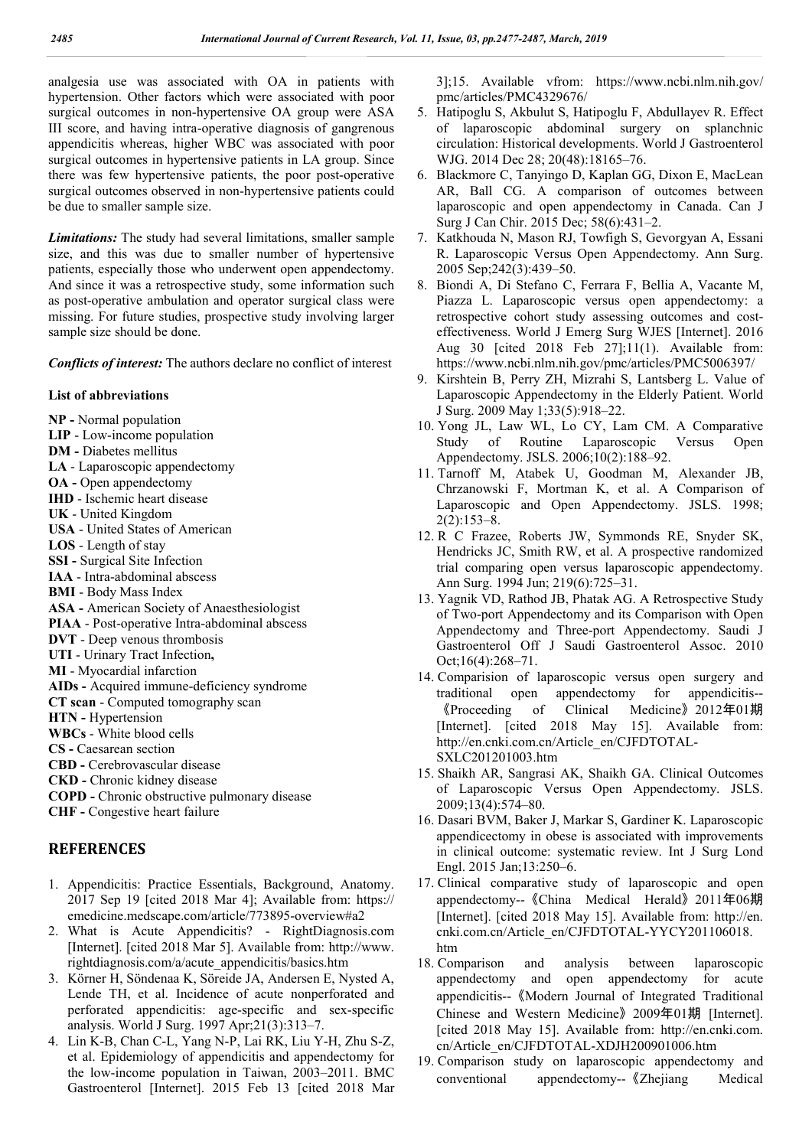analgesia use was associated with OA in patients with hypertension. Other factors which were associated with poor surgical outcomes in non-hypertensive OA group were ASA III score, and having intra-operative diagnosis of gangrenous appendicitis whereas, higher WBC was associated with poor surgical outcomes in hypertensive patients in LA group. Since there was few hypertensive patients, the poor post-operative surgical outcomes observed in non-hypertensive patients could be due to smaller sample size.

*Limitations:* The study had several limitations, smaller sample size, and this was due to smaller number of hypertensive patients, especially those who underwent open appendectomy. And since it was a retrospective study, some information such as post-operative ambulation and operator surgical class were missing. For future studies, prospective study involving larger sample size should be done.

*Conflicts of interest:* The authors declare no conflict of interest

#### **List of abbreviations**

- **NP -** Normal population
- **LIP** Low-income population
- **DM -** Diabetes mellitus
- **LA** Laparoscopic appendectomy
- **OA -** Open appendectomy
- **IHD** Ischemic heart disease
- **UK** United Kingdom **USA** - United States of American
- **LOS** Length of stay
- **SSI -** Surgical Site Infection
- **IAA** Intra-abdominal abscess
- **BMI** Body Mass Index
- **ASA -** American Society of Anaesthesiologist
- **PIAA** Post-operative Intra-abdominal abscess
- **DVT** Deep venous thrombosis
- **UTI** Urinary Tract Infection**,**
- **MI** Myocardial infarction
- **AIDs -** Acquired immune-deficiency syndrome
- **CT scan** Computed tomography scan
- **HTN -** Hypertension
- **WBCs** White blood cells
- **CS -** Caesarean section
- **CBD -** Cerebrovascular disease
- **CKD -** Chronic kidney disease
- **COPD -** Chronic obstructive pulmonary disease

**CHF -** Congestive heart failure

## **REFERENCES**

- 1. Appendicitis: Practice Essentials, Background, Anatomy. 2017 Sep 19 [cited 2018 Mar 4]; Available from: https:// emedicine.medscape.com/article/773895-overview#a2
- 2. What is Acute Appendicitis? RightDiagnosis.com [Internet]. [cited 2018 Mar 5]. Available from: http://www. rightdiagnosis.com/a/acute\_appendicitis/basics.htm
- 3. Körner H, Söndenaa K, Söreide JA, Andersen E, Nysted A, Lende TH, et al. Incidence of acute nonperforated and perforated appendicitis: age-specific and sex-specific analysis. World J Surg. 1997 Apr;21(3):313–7.
- 4. Lin K-B, Chan C-L, Yang N-P, Lai RK, Liu Y-H, Zhu S-Z, et al. Epidemiology of appendicitis and appendectomy for the low-income population in Taiwan, 2003–2011. BMC Gastroenterol [Internet]. 2015 Feb 13 [cited 2018 Mar

3];15. Available vfrom: https://www.ncbi.nlm.nih.gov/ pmc/articles/PMC4329676/

- 5. Hatipoglu S, Akbulut S, Hatipoglu F, Abdullayev R. Effect of laparoscopic abdominal surgery on splanchnic circulation: Historical developments. World J Gastroenterol WJG. 2014 Dec 28; 20(48):18165–76.
- 6. Blackmore C, Tanyingo D, Kaplan GG, Dixon E, MacLean AR, Ball CG. A comparison of outcomes between laparoscopic and open appendectomy in Canada. Can J Surg J Can Chir. 2015 Dec; 58(6):431–2.
- 7. Katkhouda N, Mason RJ, Towfigh S, Gevorgyan A, Essani R. Laparoscopic Versus Open Appendectomy. Ann Surg. 2005 Sep;242(3):439–50.
- 8. Biondi A, Di Stefano C, Ferrara F, Bellia A, Vacante M, Piazza L. Laparoscopic versus open appendectomy: a retrospective cohort study assessing outcomes and costeffectiveness. World J Emerg Surg WJES [Internet]. 2016 Aug 30 [cited 2018 Feb 27];11(1). Available from: https://www.ncbi.nlm.nih.gov/pmc/articles/PMC5006397/
- 9. Kirshtein B, Perry ZH, Mizrahi S, Lantsberg L. Value of Laparoscopic Appendectomy in the Elderly Patient. World J Surg. 2009 May 1;33(5):918–22.
- 10. Yong JL, Law WL, Lo CY, Lam CM. A Comparative Study of Routine Laparoscopic Versus Open Appendectomy. JSLS. 2006;10(2):188–92.
- 11. Tarnoff M, Atabek U, Goodman M, Alexander JB, Chrzanowski F, Mortman K, et al. A Comparison of Laparoscopic and Open Appendectomy. JSLS. 1998; 2(2):153–8.
- 12. R C Frazee, Roberts JW, Symmonds RE, Snyder SK, Hendricks JC, Smith RW, et al. A prospective randomized trial comparing open versus laparoscopic appendectomy. Ann Surg. 1994 Jun; 219(6):725–31.
- 13. Yagnik VD, Rathod JB, Phatak AG. A Retrospective Study of Two-port Appendectomy and its Comparison with Open Appendectomy and Three-port Appendectomy. Saudi J Gastroenterol Off J Saudi Gastroenterol Assoc. 2010 Oct;16(4):268–71.
- 14. Comparision of laparoscopic versus open surgery and traditional open appendectomy for appendicitis-- 《Proceeding of Clinical Medicine》2012年01期 [Internet]. [cited 2018 May 15]. Available from: http://en.cnki.com.cn/Article\_en/CJFDTOTAL-SXLC201201003.htm
- 15. Shaikh AR, Sangrasi AK, Shaikh GA. Clinical Outcomes of Laparoscopic Versus Open Appendectomy. JSLS. 2009;13(4):574–80.
- 16. Dasari BVM, Baker J, Markar S, Gardiner K. Laparoscopic appendicectomy in obese is associated with improvements in clinical outcome: systematic review. Int J Surg Lond Engl. 2015 Jan;13:250–6.
- 17. Clinical comparative study of laparoscopic and open appendectomy--《China Medical Herald》2011年06期 [Internet]. [cited 2018 May 15]. Available from: http://en. cnki.com.cn/Article\_en/CJFDTOTAL-YYCY201106018. htm
- 18. Comparison and analysis between laparoscopic appendectomy and open appendectomy for acute appendicitis--《Modern Journal of Integrated Traditional Chinese and Western Medicine》2009年01期 [Internet]. [cited 2018 May 15]. Available from: http://en.cnki.com. cn/Article\_en/CJFDTOTAL-XDJH200901006.htm
- 19. Comparison study on laparoscopic appendectomy and conventional appendectomy--《Zhejiang Medical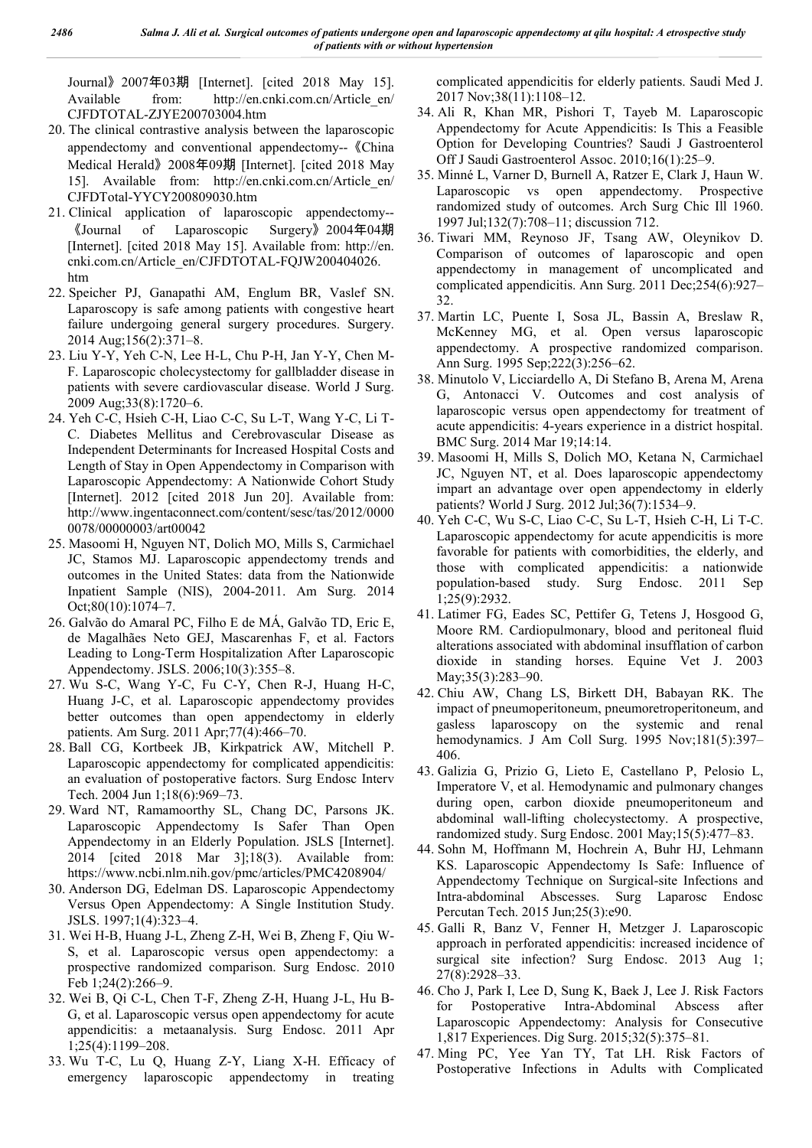Journal》2007年03期 [Internet]. [cited 2018 May 15]. Available from: http://en.cnki.com.cn/Article\_en/ CJFDTOTAL-ZJYE200703004.htm

- 20. The clinical contrastive analysis between the laparoscopic appendectomy and conventional appendectomy--《China Medical Herald》2008年09期 [Internet]. [cited 2018 May 15]. Available from: http://en.cnki.com.cn/Article\_en/ CJFDTotal-YYCY200809030.htm
- 21. Clinical application of laparoscopic appendectomy-- 《Journal of Laparoscopic Surgery》2004年04期 [Internet]. [cited 2018 May 15]. Available from: http://en. cnki.com.cn/Article\_en/CJFDTOTAL-FQJW200404026. htm
- 22. Speicher PJ, Ganapathi AM, Englum BR, Vaslef SN. Laparoscopy is safe among patients with congestive heart failure undergoing general surgery procedures. Surgery. 2014 Aug;156(2):371–8.
- 23. Liu Y-Y, Yeh C-N, Lee H-L, Chu P-H, Jan Y-Y, Chen M-F. Laparoscopic cholecystectomy for gallbladder disease in patients with severe cardiovascular disease. World J Surg. 2009 Aug;33(8):1720–6.
- 24. Yeh C-C, Hsieh C-H, Liao C-C, Su L-T, Wang Y-C, Li T-C. Diabetes Mellitus and Cerebrovascular Disease as Independent Determinants for Increased Hospital Costs and Length of Stay in Open Appendectomy in Comparison with Laparoscopic Appendectomy: A Nationwide Cohort Study [Internet]. 2012 [cited 2018 Jun 20]. Available from: http://www.ingentaconnect.com/content/sesc/tas/2012/0000 0078/00000003/art00042
- 25. Masoomi H, Nguyen NT, Dolich MO, Mills S, Carmichael JC, Stamos MJ. Laparoscopic appendectomy trends and outcomes in the United States: data from the Nationwide Inpatient Sample (NIS), 2004-2011. Am Surg. 2014 Oct;80(10):1074–7.
- 26. Galvão do Amaral PC, Filho E de MÁ, Galvão TD, Eric E, de Magalhães Neto GEJ, Mascarenhas F, et al. Factors Leading to Long-Term Hospitalization After Laparoscopic Appendectomy. JSLS. 2006;10(3):355–8.
- 27. Wu S-C, Wang Y-C, Fu C-Y, Chen R-J, Huang H-C, Huang J-C, et al. Laparoscopic appendectomy provides better outcomes than open appendectomy in elderly patients. Am Surg. 2011 Apr;77(4):466–70.
- 28. Ball CG, Kortbeek JB, Kirkpatrick AW, Mitchell P. Laparoscopic appendectomy for complicated appendicitis: an evaluation of postoperative factors. Surg Endosc Interv Tech. 2004 Jun 1;18(6):969–73.
- 29. Ward NT, Ramamoorthy SL, Chang DC, Parsons JK. Laparoscopic Appendectomy Is Safer Than Open Appendectomy in an Elderly Population. JSLS [Internet]. 2014 [cited 2018 Mar 3];18(3). Available from: https://www.ncbi.nlm.nih.gov/pmc/articles/PMC4208904/
- 30. Anderson DG, Edelman DS. Laparoscopic Appendectomy Versus Open Appendectomy: A Single Institution Study. JSLS. 1997;1(4):323–4.
- 31. Wei H-B, Huang J-L, Zheng Z-H, Wei B, Zheng F, Qiu W-S, et al. Laparoscopic versus open appendectomy: a prospective randomized comparison. Surg Endosc. 2010 Feb 1;24(2):266–9.
- 32. Wei B, Qi C-L, Chen T-F, Zheng Z-H, Huang J-L, Hu B-G, et al. Laparoscopic versus open appendectomy for acute appendicitis: a metaanalysis. Surg Endosc. 2011 Apr 1;25(4):1199–208.
- 33. Wu T-C, Lu Q, Huang Z-Y, Liang X-H. Efficacy of emergency laparoscopic appendectomy in treating

complicated appendicitis for elderly patients. Saudi Med J. 2017 Nov;38(11):1108–12.

- 34. Ali R, Khan MR, Pishori T, Tayeb M. Laparoscopic Appendectomy for Acute Appendicitis: Is This a Feasible Option for Developing Countries? Saudi J Gastroenterol Off J Saudi Gastroenterol Assoc. 2010;16(1):25–9.
- 35. Minné L, Varner D, Burnell A, Ratzer E, Clark J, Haun W. Laparoscopic vs open appendectomy. Prospective randomized study of outcomes. Arch Surg Chic Ill 1960. 1997 Jul;132(7):708–11; discussion 712.
- 36. Tiwari MM, Reynoso JF, Tsang AW, Oleynikov D. Comparison of outcomes of laparoscopic and open appendectomy in management of uncomplicated and complicated appendicitis. Ann Surg. 2011 Dec;254(6):927– 32.
- 37. Martin LC, Puente I, Sosa JL, Bassin A, Breslaw R, McKenney MG, et al. Open versus laparoscopic appendectomy. A prospective randomized comparison. Ann Surg. 1995 Sep;222(3):256–62.
- 38. Minutolo V, Licciardello A, Di Stefano B, Arena M, Arena G, Antonacci V. Outcomes and cost analysis of laparoscopic versus open appendectomy for treatment of acute appendicitis: 4-years experience in a district hospital. BMC Surg. 2014 Mar 19;14:14.
- 39. Masoomi H, Mills S, Dolich MO, Ketana N, Carmichael JC, Nguyen NT, et al. Does laparoscopic appendectomy impart an advantage over open appendectomy in elderly patients? World J Surg. 2012 Jul;36(7):1534–9.
- 40. Yeh C-C, Wu S-C, Liao C-C, Su L-T, Hsieh C-H, Li T-C. Laparoscopic appendectomy for acute appendicitis is more favorable for patients with comorbidities, the elderly, and those with complicated appendicitis: a nationwide population-based study. Surg Endosc. 2011 Sep 1;25(9):2932.
- 41. Latimer FG, Eades SC, Pettifer G, Tetens J, Hosgood G, Moore RM. Cardiopulmonary, blood and peritoneal fluid alterations associated with abdominal insufflation of carbon dioxide in standing horses. Equine Vet J. 2003 May;35(3):283–90.
- 42. Chiu AW, Chang LS, Birkett DH, Babayan RK. The impact of pneumoperitoneum, pneumoretroperitoneum, and gasless laparoscopy on the systemic and renal hemodynamics. J Am Coll Surg. 1995 Nov;181(5):397– 406.
- 43. Galizia G, Prizio G, Lieto E, Castellano P, Pelosio L, Imperatore V, et al. Hemodynamic and pulmonary changes during open, carbon dioxide pneumoperitoneum and abdominal wall-lifting cholecystectomy. A prospective, randomized study. Surg Endosc. 2001 May;15(5):477–83.
- 44. Sohn M, Hoffmann M, Hochrein A, Buhr HJ, Lehmann KS. Laparoscopic Appendectomy Is Safe: Influence of Appendectomy Technique on Surgical-site Infections and Intra-abdominal Abscesses. Surg Laparosc Endosc Percutan Tech. 2015 Jun;25(3):e90.
- 45. Galli R, Banz V, Fenner H, Metzger J. Laparoscopic approach in perforated appendicitis: increased incidence of surgical site infection? Surg Endosc. 2013 Aug 1; 27(8):2928–33.
- 46. Cho J, Park I, Lee D, Sung K, Baek J, Lee J. Risk Factors for Postoperative Intra-Abdominal Abscess after Laparoscopic Appendectomy: Analysis for Consecutive 1,817 Experiences. Dig Surg. 2015;32(5):375–81.
- 47. Ming PC, Yee Yan TY, Tat LH. Risk Factors of Postoperative Infections in Adults with Complicated